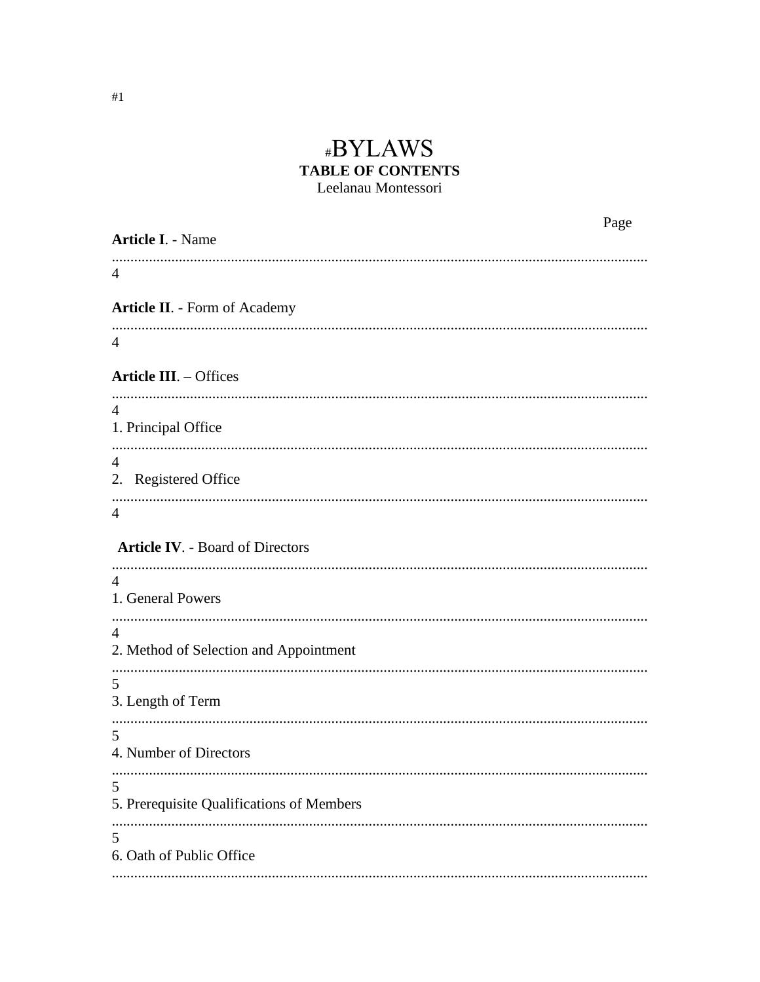# #BYLAWS **TABLE OF CONTENTS** Leelanau Montessori

| <b>Article I. - Name</b>                                 | Page |
|----------------------------------------------------------|------|
| 4                                                        |      |
| <b>Article II. - Form of Academy</b>                     |      |
| $\overline{4}$                                           |      |
| <b>Article III.</b> - Offices                            |      |
| $\overline{4}$<br>1. Principal Office                    |      |
| $\overline{4}$<br>2. Registered Office                   |      |
| $\overline{4}$                                           |      |
| <b>Article IV. - Board of Directors</b>                  |      |
| $\overline{4}$<br>1. General Powers                      |      |
| $\overline{4}$<br>2. Method of Selection and Appointment |      |
| 5<br>3. Length of Term                                   |      |
| 5<br>4. Number of Directors                              |      |
| 5<br>5. Prerequisite Qualifications of Members           |      |
| 5<br>6. Oath of Public Office                            |      |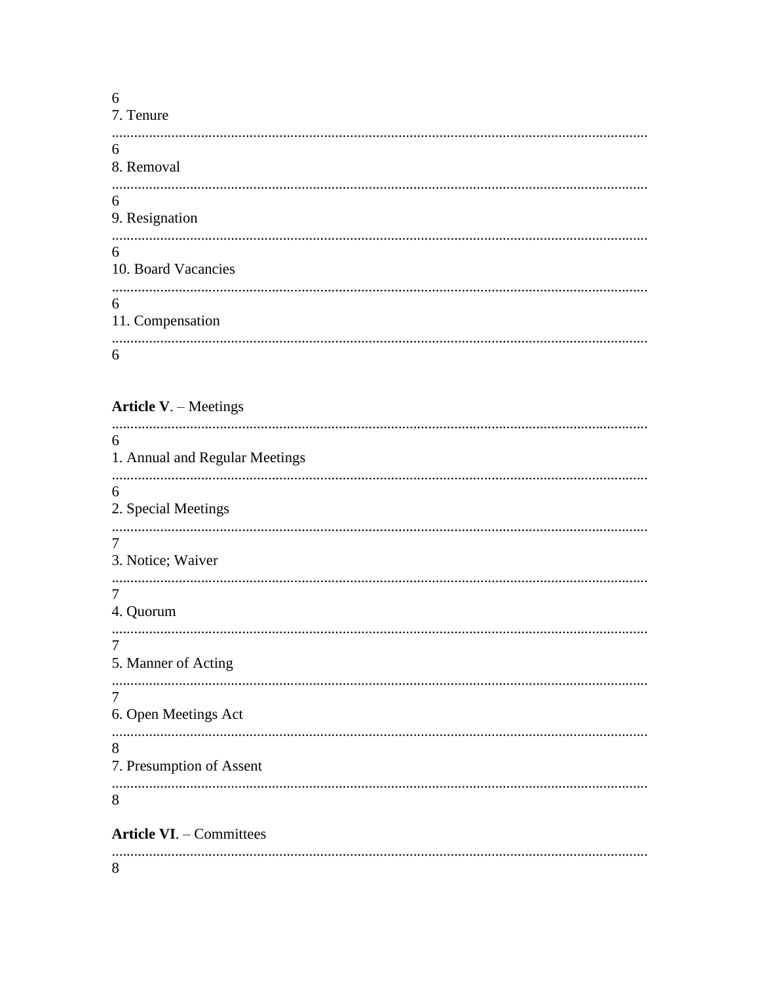6 7. Tenure 6 8. Removal 6 9. Resignation 6 10. Board Vacancies 6 11. Compensation 6

# Article V. - Meetings

| 6                                   |
|-------------------------------------|
| 1. Annual and Regular Meetings      |
| 6                                   |
| 2. Special Meetings                 |
|                                     |
| $\overline{7}$<br>3. Notice; Waiver |
|                                     |
| $\overline{7}$                      |
| 4. Quorum                           |
| 7                                   |
| 5. Manner of Acting                 |
| 7                                   |
| 6. Open Meetings Act                |
|                                     |
| 8                                   |
| 7. Presumption of Assent            |
| 8                                   |
|                                     |
| <b>Article VI. - Committees</b>     |
|                                     |

8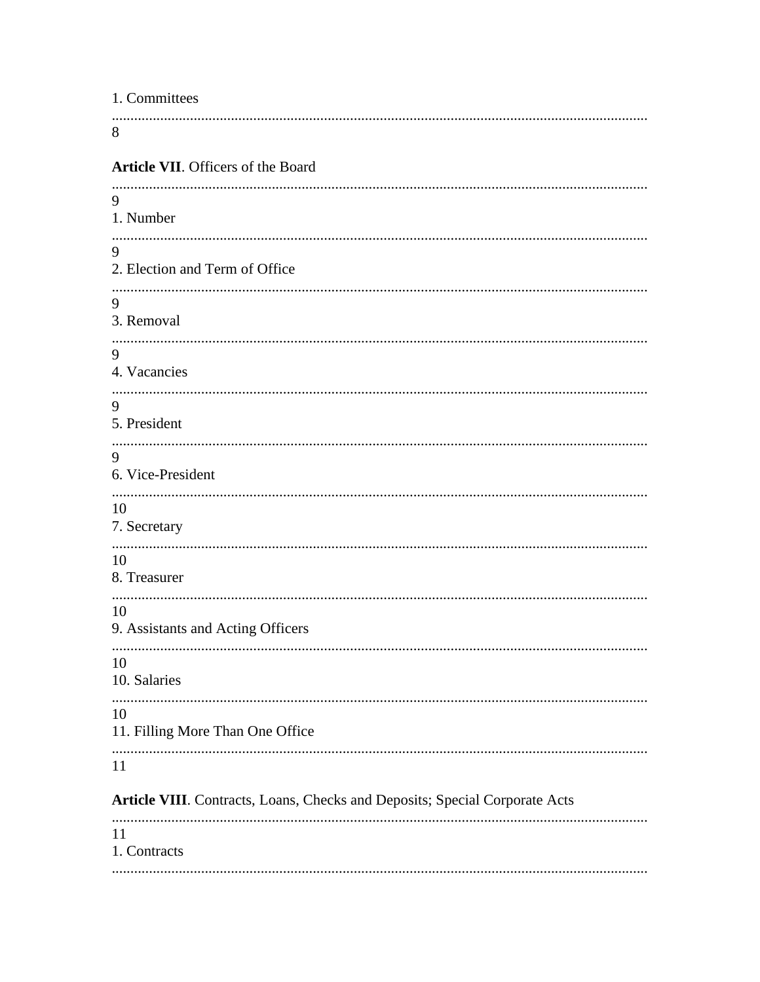| 1. Committees                                                               |
|-----------------------------------------------------------------------------|
| 8                                                                           |
| Article VII. Officers of the Board                                          |
| 9<br>1. Number                                                              |
| 9<br>2. Election and Term of Office                                         |
|                                                                             |
| 9<br>3. Removal                                                             |
| 9<br>4. Vacancies                                                           |
| 9<br>5. President                                                           |
| 9<br>6. Vice-President                                                      |
| 10<br>7. Secretary                                                          |
| 10<br>8. Treasurer                                                          |
| 10<br>9. Assistants and Acting Officers                                     |
| 10<br>10. Salaries                                                          |
| 10<br>11. Filling More Than One Office                                      |
| <br>11                                                                      |
| Article VIII. Contracts, Loans, Checks and Deposits; Special Corporate Acts |
| 11<br>1. Contracts                                                          |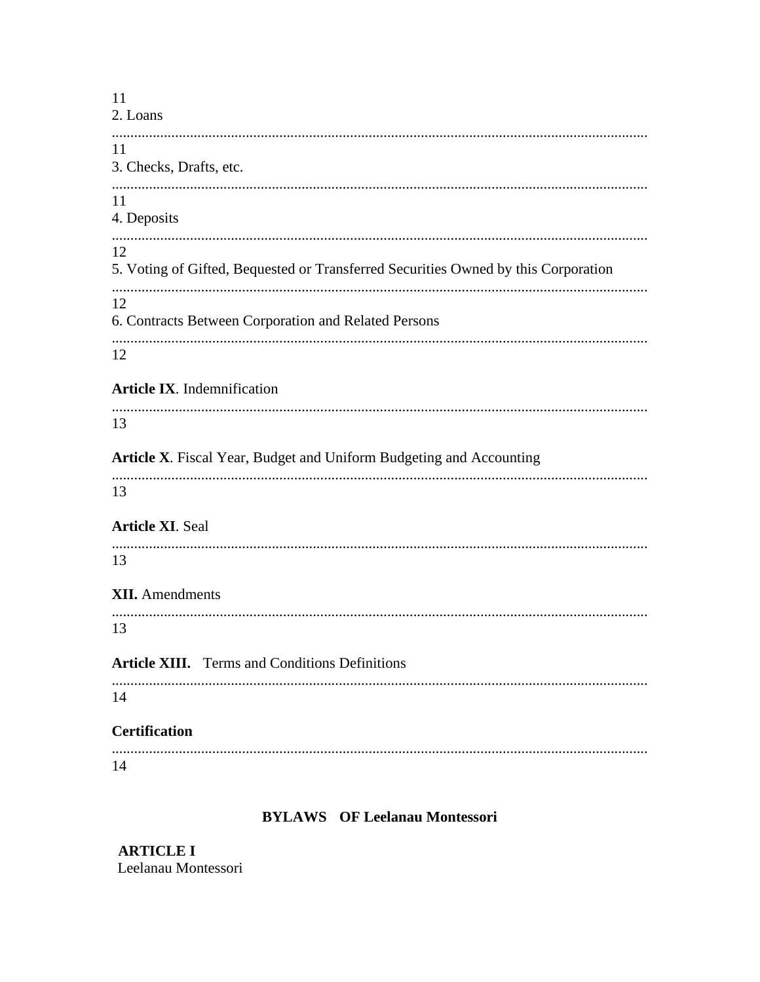$11$  $2.$  Loans 11 3. Checks, Drafts, etc. 11 4. Deposits 12 5. Voting of Gifted, Bequested or Transferred Securities Owned by this Corporation 12 6. Contracts Between Corporation and Related Persons 12 **Article IX.** Indemnification 13 Article X. Fiscal Year, Budget and Uniform Budgeting and Accounting 13 **Article XI. Seal** 13 **XII.** Amendments 13 **Article XIII.** Terms and Conditions Definitions 14 **Certification** 14

# **BYLAWS** OF Leelanau Montessori

**ARTICLE I** Leelanau Montessori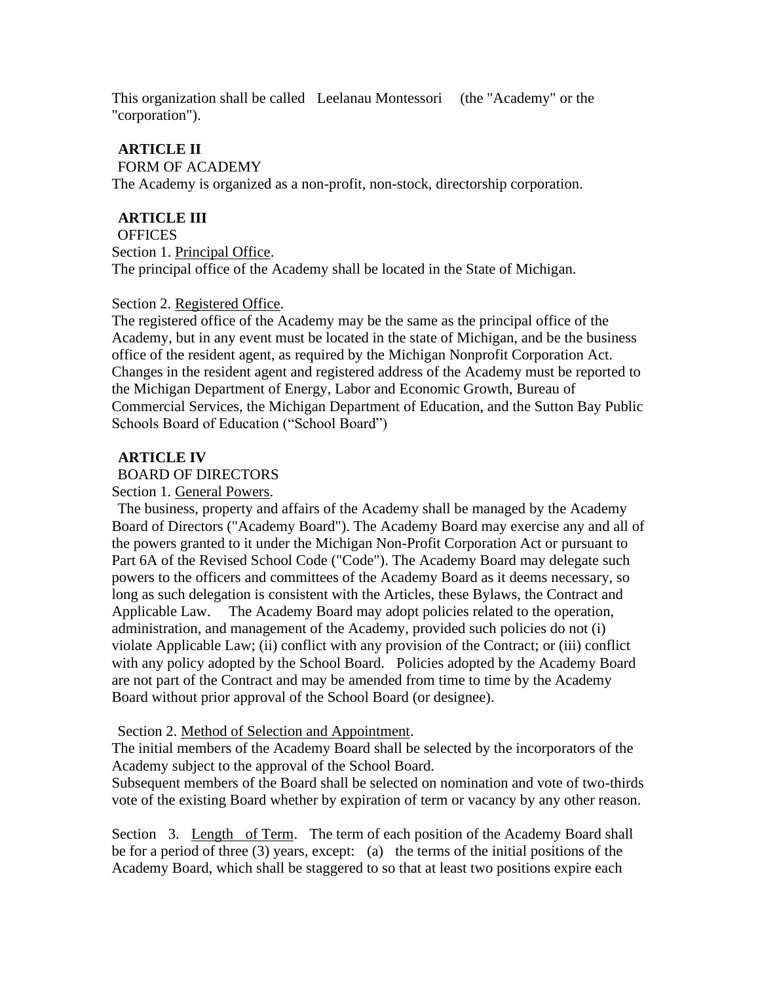This organization shall be called Leelanau Montessori (the "Academy" or the "corporation").

### **ARTICLE II**

#### FORM OF ACADEMY

The Academy is organized as a non-profit, non-stock, directorship corporation.

### **ARTICLE III**

#### **OFFICES**

Section 1. Principal Office. The principal office of the Academy shall be located in the State of Michigan.

### Section 2. Registered Office.

The registered office of the Academy may be the same as the principal office of the Academy, but in any event must be located in the state of Michigan, and be the business office of the resident agent, as required by the Michigan Nonprofit Corporation Act. Changes in the resident agent and registered address of the Academy must be reported to the Michigan Department of Energy, Labor and Economic Growth, Bureau of Commercial Services, the Michigan Department of Education, and the Sutton Bay Public Schools Board of Education ("School Board")

### **ARTICLE IV**

### BOARD OF DIRECTORS

Section 1. General Powers.

The business, property and affairs of the Academy shall be managed by the Academy Board of Directors ("Academy Board"). The Academy Board may exercise any and all of the powers granted to it under the Michigan Non-Profit Corporation Act or pursuant to Part 6A of the Revised School Code ("Code"). The Academy Board may delegate such powers to the officers and committees of the Academy Board as it deems necessary, so long as such delegation is consistent with the Articles, these Bylaws, the Contract and Applicable Law. The Academy Board may adopt policies related to the operation, administration, and management of the Academy, provided such policies do not (i) violate Applicable Law; (ii) conflict with any provision of the Contract; or (iii) conflict with any policy adopted by the School Board. Policies adopted by the Academy Board are not part of the Contract and may be amended from time to time by the Academy Board without prior approval of the School Board (or designee).

### Section 2. Method of Selection and Appointment.

The initial members of the Academy Board shall be selected by the incorporators of the Academy subject to the approval of the School Board.

Subsequent members of the Board shall be selected on nomination and vote of two-thirds vote of the existing Board whether by expiration of term or vacancy by any other reason.

Section 3. Length of Term. The term of each position of the Academy Board shall be for a period of three (3) years, except: (a) the terms of the initial positions of the Academy Board, which shall be staggered to so that at least two positions expire each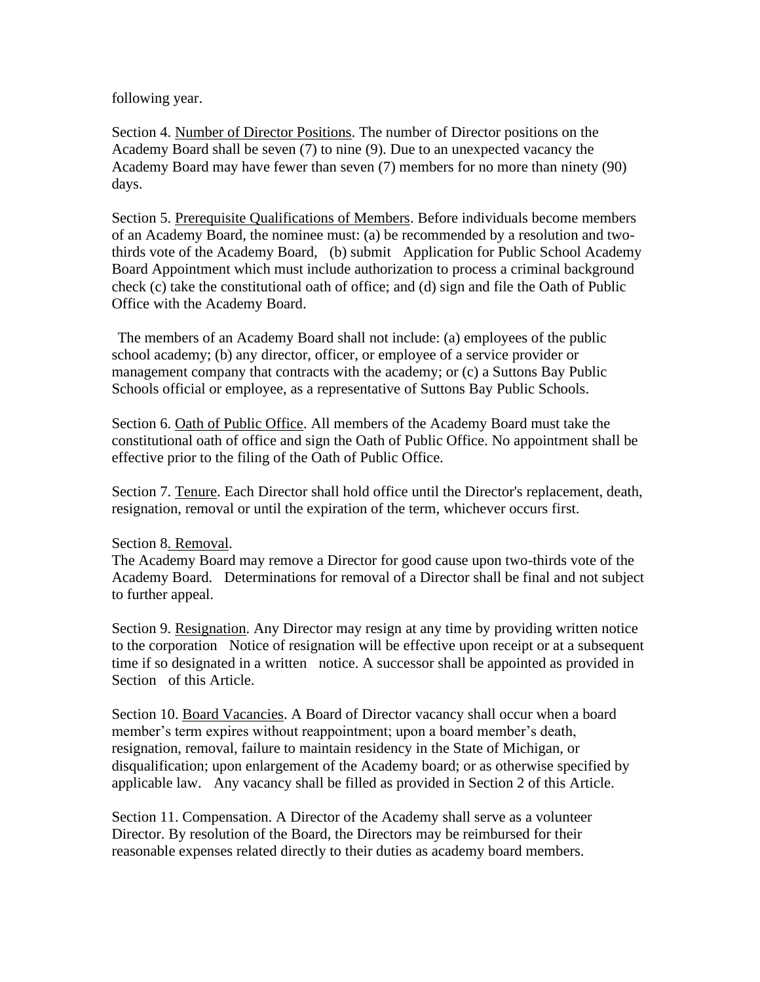following year.

Section 4. Number of Director Positions. The number of Director positions on the Academy Board shall be seven (7) to nine (9). Due to an unexpected vacancy the Academy Board may have fewer than seven (7) members for no more than ninety (90) days.

Section 5. Prerequisite Qualifications of Members. Before individuals become members of an Academy Board, the nominee must: (a) be recommended by a resolution and twothirds vote of the Academy Board, (b) submit Application for Public School Academy Board Appointment which must include authorization to process a criminal background check (c) take the constitutional oath of office; and (d) sign and file the Oath of Public Office with the Academy Board.

The members of an Academy Board shall not include: (a) employees of the public school academy; (b) any director, officer, or employee of a service provider or management company that contracts with the academy; or (c) a Suttons Bay Public Schools official or employee, as a representative of Suttons Bay Public Schools.

Section 6. Oath of Public Office. All members of the Academy Board must take the constitutional oath of office and sign the Oath of Public Office. No appointment shall be effective prior to the filing of the Oath of Public Office.

Section 7. Tenure. Each Director shall hold office until the Director's replacement, death, resignation, removal or until the expiration of the term, whichever occurs first.

### Section 8. Removal.

The Academy Board may remove a Director for good cause upon two-thirds vote of the Academy Board. Determinations for removal of a Director shall be final and not subject to further appeal.

Section 9. Resignation. Any Director may resign at any time by providing written notice to the corporation Notice of resignation will be effective upon receipt or at a subsequent time if so designated in a written notice. A successor shall be appointed as provided in Section of this Article.

Section 10. Board Vacancies. A Board of Director vacancy shall occur when a board member's term expires without reappointment; upon a board member's death, resignation, removal, failure to maintain residency in the State of Michigan, or disqualification; upon enlargement of the Academy board; or as otherwise specified by applicable law. Any vacancy shall be filled as provided in Section 2 of this Article.

Section 11. Compensation. A Director of the Academy shall serve as a volunteer Director. By resolution of the Board, the Directors may be reimbursed for their reasonable expenses related directly to their duties as academy board members.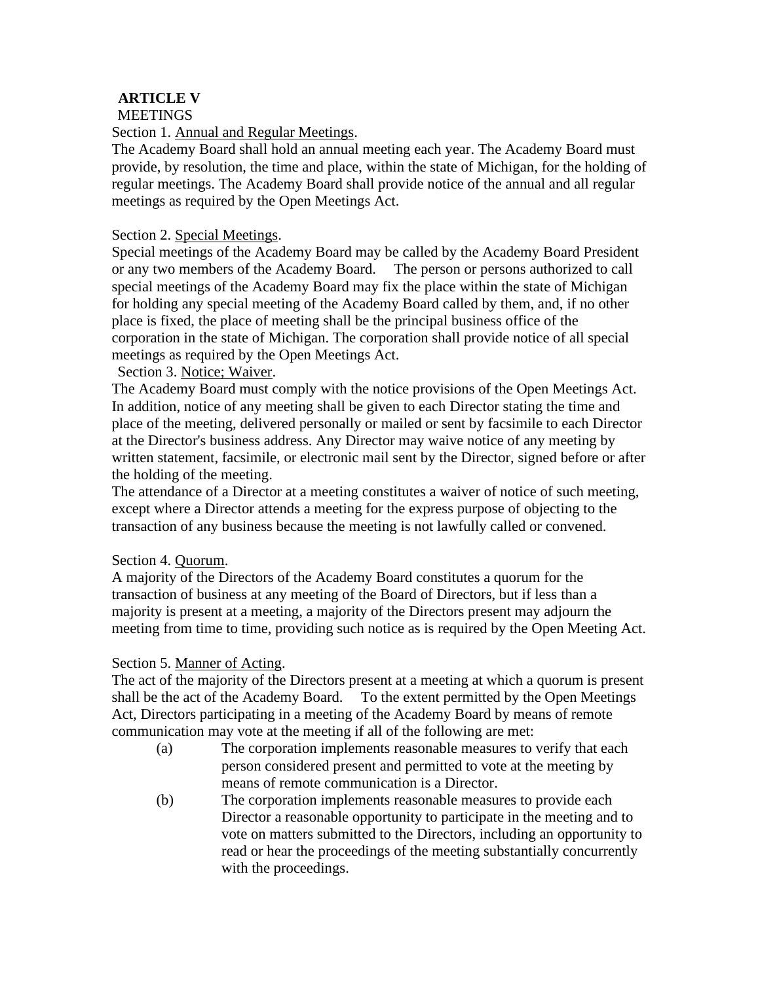# **ARTICLE V**

### **MEETINGS**

### Section 1. Annual and Regular Meetings.

The Academy Board shall hold an annual meeting each year. The Academy Board must provide, by resolution, the time and place, within the state of Michigan, for the holding of regular meetings. The Academy Board shall provide notice of the annual and all regular meetings as required by the Open Meetings Act.

### Section 2. Special Meetings.

Special meetings of the Academy Board may be called by the Academy Board President or any two members of the Academy Board. The person or persons authorized to call special meetings of the Academy Board may fix the place within the state of Michigan for holding any special meeting of the Academy Board called by them, and, if no other place is fixed, the place of meeting shall be the principal business office of the corporation in the state of Michigan. The corporation shall provide notice of all special meetings as required by the Open Meetings Act.

### Section 3. Notice; Waiver.

The Academy Board must comply with the notice provisions of the Open Meetings Act. In addition, notice of any meeting shall be given to each Director stating the time and place of the meeting, delivered personally or mailed or sent by facsimile to each Director at the Director's business address. Any Director may waive notice of any meeting by written statement, facsimile, or electronic mail sent by the Director, signed before or after the holding of the meeting.

The attendance of a Director at a meeting constitutes a waiver of notice of such meeting, except where a Director attends a meeting for the express purpose of objecting to the transaction of any business because the meeting is not lawfully called or convened.

### Section 4. Quorum.

A majority of the Directors of the Academy Board constitutes a quorum for the transaction of business at any meeting of the Board of Directors, but if less than a majority is present at a meeting, a majority of the Directors present may adjourn the meeting from time to time, providing such notice as is required by the Open Meeting Act.

# Section 5. Manner of Acting.

The act of the majority of the Directors present at a meeting at which a quorum is present shall be the act of the Academy Board. To the extent permitted by the Open Meetings Act, Directors participating in a meeting of the Academy Board by means of remote communication may vote at the meeting if all of the following are met:

- (a) The corporation implements reasonable measures to verify that each person considered present and permitted to vote at the meeting by means of remote communication is a Director.
- (b) The corporation implements reasonable measures to provide each Director a reasonable opportunity to participate in the meeting and to vote on matters submitted to the Directors, including an opportunity to read or hear the proceedings of the meeting substantially concurrently with the proceedings.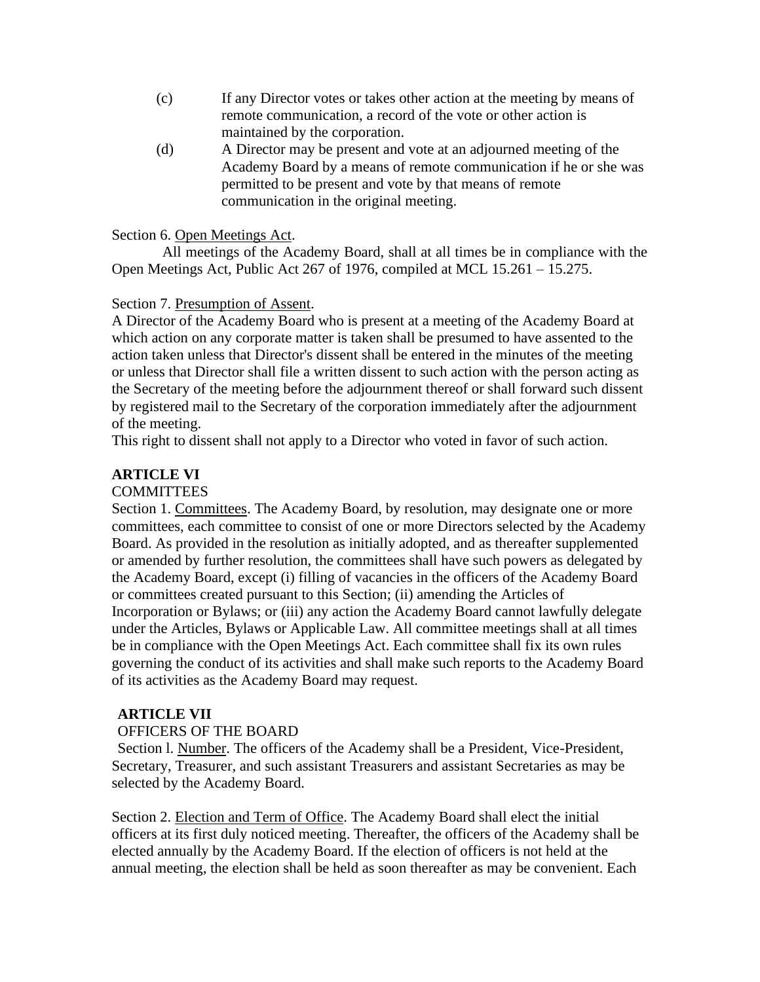- (c) If any Director votes or takes other action at the meeting by means of remote communication, a record of the vote or other action is maintained by the corporation.
- (d) A Director may be present and vote at an adjourned meeting of the Academy Board by a means of remote communication if he or she was permitted to be present and vote by that means of remote communication in the original meeting.

#### Section 6. Open Meetings Act.

All meetings of the Academy Board, shall at all times be in compliance with the Open Meetings Act, Public Act 267 of 1976, compiled at MCL 15.261 – 15.275.

### Section 7. Presumption of Assent.

A Director of the Academy Board who is present at a meeting of the Academy Board at which action on any corporate matter is taken shall be presumed to have assented to the action taken unless that Director's dissent shall be entered in the minutes of the meeting or unless that Director shall file a written dissent to such action with the person acting as the Secretary of the meeting before the adjournment thereof or shall forward such dissent by registered mail to the Secretary of the corporation immediately after the adjournment of the meeting.

This right to dissent shall not apply to a Director who voted in favor of such action.

### **ARTICLE VI**

#### **COMMITTEES**

Section 1. Committees. The Academy Board, by resolution, may designate one or more committees, each committee to consist of one or more Directors selected by the Academy Board. As provided in the resolution as initially adopted, and as thereafter supplemented or amended by further resolution, the committees shall have such powers as delegated by the Academy Board, except (i) filling of vacancies in the officers of the Academy Board or committees created pursuant to this Section; (ii) amending the Articles of Incorporation or Bylaws; or (iii) any action the Academy Board cannot lawfully delegate under the Articles, Bylaws or Applicable Law. All committee meetings shall at all times be in compliance with the Open Meetings Act. Each committee shall fix its own rules governing the conduct of its activities and shall make such reports to the Academy Board of its activities as the Academy Board may request.

#### **ARTICLE VII**

#### OFFICERS OF THE BOARD

Section l. Number. The officers of the Academy shall be a President, Vice-President, Secretary, Treasurer, and such assistant Treasurers and assistant Secretaries as may be selected by the Academy Board.

Section 2. Election and Term of Office. The Academy Board shall elect the initial officers at its first duly noticed meeting. Thereafter, the officers of the Academy shall be elected annually by the Academy Board. If the election of officers is not held at the annual meeting, the election shall be held as soon thereafter as may be convenient. Each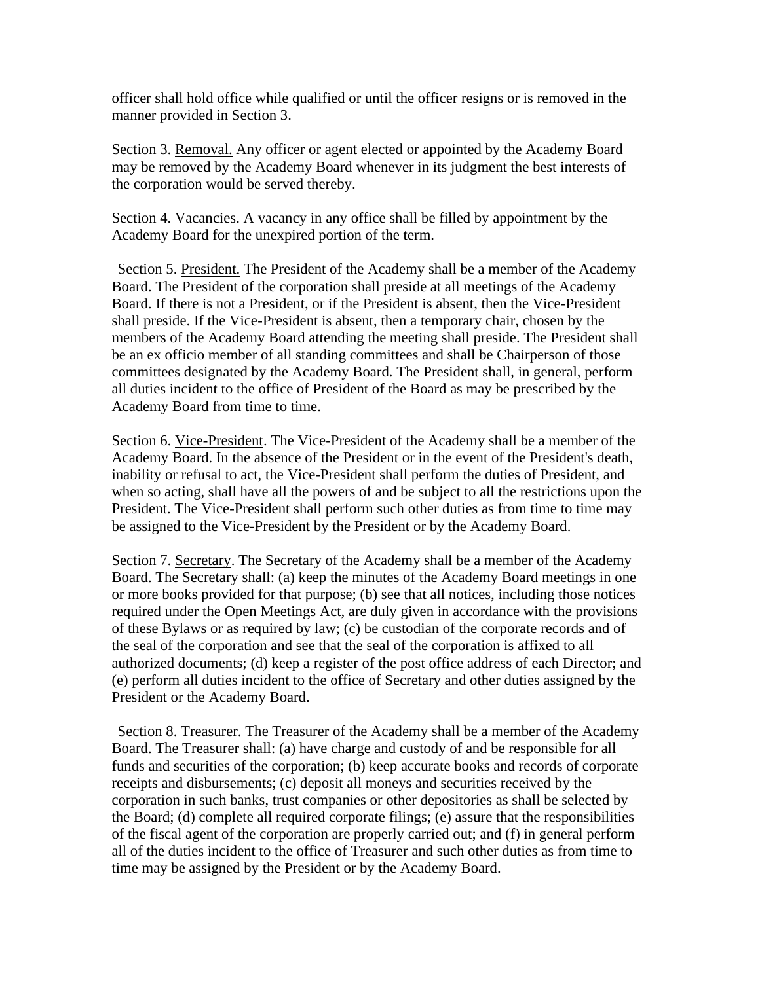officer shall hold office while qualified or until the officer resigns or is removed in the manner provided in Section 3.

Section 3. Removal. Any officer or agent elected or appointed by the Academy Board may be removed by the Academy Board whenever in its judgment the best interests of the corporation would be served thereby.

Section 4. Vacancies. A vacancy in any office shall be filled by appointment by the Academy Board for the unexpired portion of the term.

Section 5. President. The President of the Academy shall be a member of the Academy Board. The President of the corporation shall preside at all meetings of the Academy Board. If there is not a President, or if the President is absent, then the Vice-President shall preside. If the Vice-President is absent, then a temporary chair, chosen by the members of the Academy Board attending the meeting shall preside. The President shall be an ex officio member of all standing committees and shall be Chairperson of those committees designated by the Academy Board. The President shall, in general, perform all duties incident to the office of President of the Board as may be prescribed by the Academy Board from time to time.

Section 6. Vice-President. The Vice-President of the Academy shall be a member of the Academy Board. In the absence of the President or in the event of the President's death, inability or refusal to act, the Vice-President shall perform the duties of President, and when so acting, shall have all the powers of and be subject to all the restrictions upon the President. The Vice-President shall perform such other duties as from time to time may be assigned to the Vice-President by the President or by the Academy Board.

Section 7. Secretary. The Secretary of the Academy shall be a member of the Academy Board. The Secretary shall: (a) keep the minutes of the Academy Board meetings in one or more books provided for that purpose; (b) see that all notices, including those notices required under the Open Meetings Act, are duly given in accordance with the provisions of these Bylaws or as required by law; (c) be custodian of the corporate records and of the seal of the corporation and see that the seal of the corporation is affixed to all authorized documents; (d) keep a register of the post office address of each Director; and (e) perform all duties incident to the office of Secretary and other duties assigned by the President or the Academy Board.

Section 8. Treasurer. The Treasurer of the Academy shall be a member of the Academy Board. The Treasurer shall: (a) have charge and custody of and be responsible for all funds and securities of the corporation; (b) keep accurate books and records of corporate receipts and disbursements; (c) deposit all moneys and securities received by the corporation in such banks, trust companies or other depositories as shall be selected by the Board; (d) complete all required corporate filings; (e) assure that the responsibilities of the fiscal agent of the corporation are properly carried out; and (f) in general perform all of the duties incident to the office of Treasurer and such other duties as from time to time may be assigned by the President or by the Academy Board.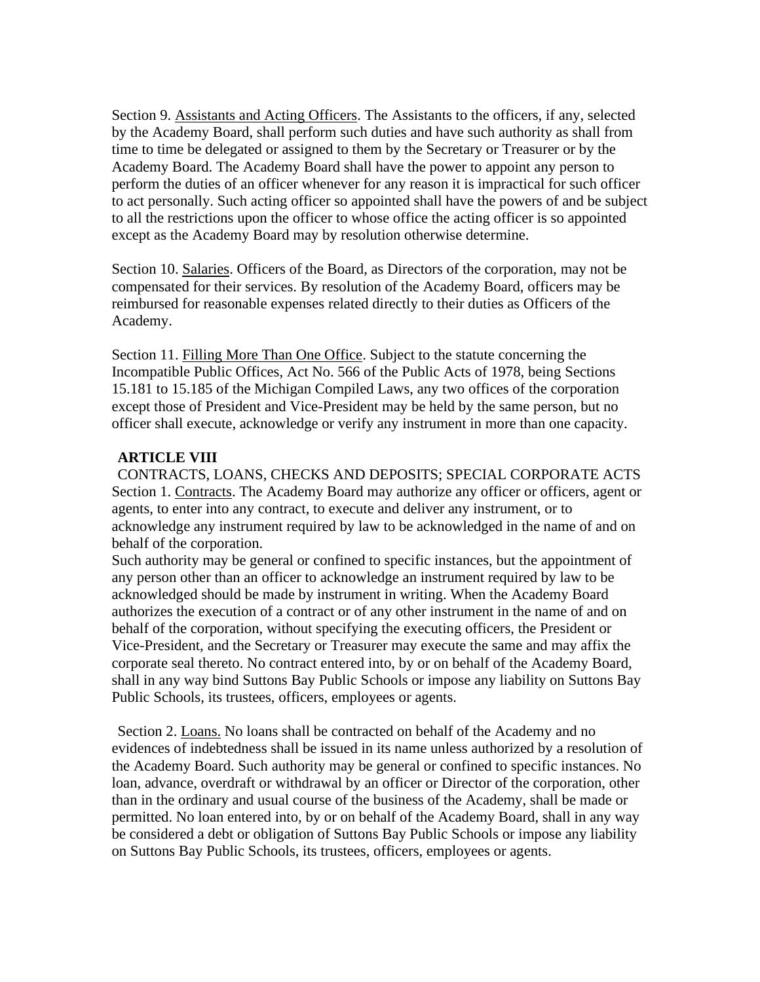Section 9. Assistants and Acting Officers. The Assistants to the officers, if any, selected by the Academy Board, shall perform such duties and have such authority as shall from time to time be delegated or assigned to them by the Secretary or Treasurer or by the Academy Board. The Academy Board shall have the power to appoint any person to perform the duties of an officer whenever for any reason it is impractical for such officer to act personally. Such acting officer so appointed shall have the powers of and be subject to all the restrictions upon the officer to whose office the acting officer is so appointed except as the Academy Board may by resolution otherwise determine.

Section 10. Salaries. Officers of the Board, as Directors of the corporation, may not be compensated for their services. By resolution of the Academy Board, officers may be reimbursed for reasonable expenses related directly to their duties as Officers of the Academy.

Section 11. Filling More Than One Office. Subject to the statute concerning the Incompatible Public Offices, Act No. 566 of the Public Acts of 1978, being Sections 15.181 to 15.185 of the Michigan Compiled Laws, any two offices of the corporation except those of President and Vice-President may be held by the same person, but no officer shall execute, acknowledge or verify any instrument in more than one capacity.

# **ARTICLE VIII**

CONTRACTS, LOANS, CHECKS AND DEPOSITS; SPECIAL CORPORATE ACTS Section 1. Contracts. The Academy Board may authorize any officer or officers, agent or agents, to enter into any contract, to execute and deliver any instrument, or to acknowledge any instrument required by law to be acknowledged in the name of and on behalf of the corporation.

Such authority may be general or confined to specific instances, but the appointment of any person other than an officer to acknowledge an instrument required by law to be acknowledged should be made by instrument in writing. When the Academy Board authorizes the execution of a contract or of any other instrument in the name of and on behalf of the corporation, without specifying the executing officers, the President or Vice-President, and the Secretary or Treasurer may execute the same and may affix the corporate seal thereto. No contract entered into, by or on behalf of the Academy Board, shall in any way bind Suttons Bay Public Schools or impose any liability on Suttons Bay Public Schools, its trustees, officers, employees or agents.

Section 2. Loans. No loans shall be contracted on behalf of the Academy and no evidences of indebtedness shall be issued in its name unless authorized by a resolution of the Academy Board. Such authority may be general or confined to specific instances. No loan, advance, overdraft or withdrawal by an officer or Director of the corporation, other than in the ordinary and usual course of the business of the Academy, shall be made or permitted. No loan entered into, by or on behalf of the Academy Board, shall in any way be considered a debt or obligation of Suttons Bay Public Schools or impose any liability on Suttons Bay Public Schools, its trustees, officers, employees or agents.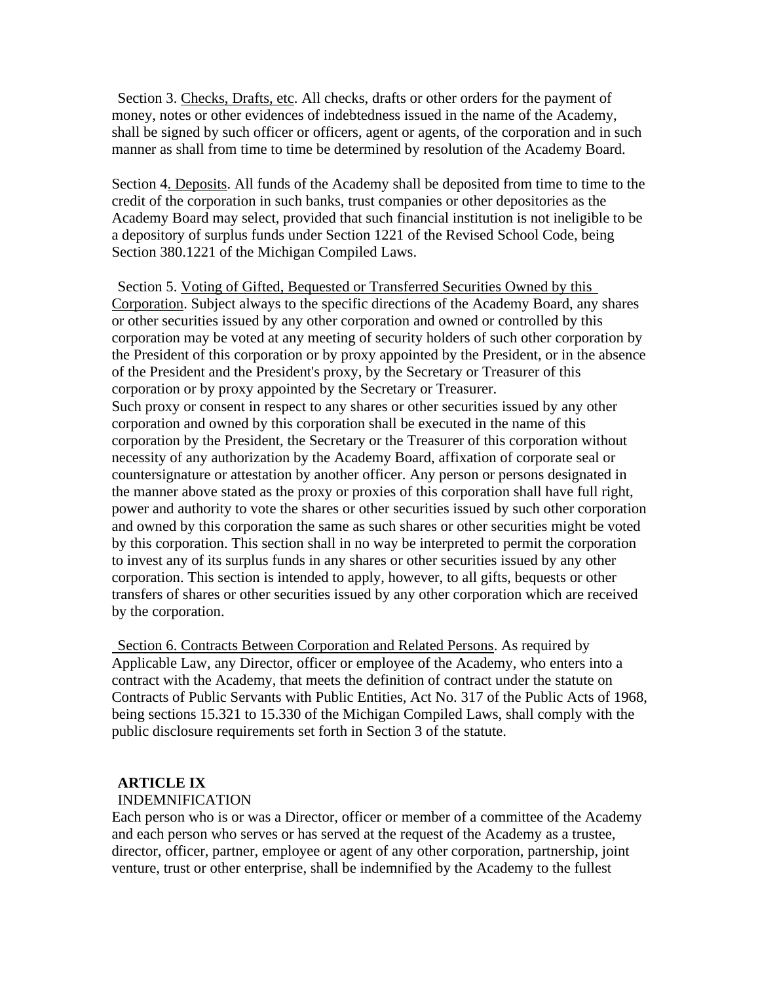Section 3. Checks, Drafts, etc. All checks, drafts or other orders for the payment of money, notes or other evidences of indebtedness issued in the name of the Academy, shall be signed by such officer or officers, agent or agents, of the corporation and in such manner as shall from time to time be determined by resolution of the Academy Board.

Section 4. Deposits. All funds of the Academy shall be deposited from time to time to the credit of the corporation in such banks, trust companies or other depositories as the Academy Board may select, provided that such financial institution is not ineligible to be a depository of surplus funds under Section 1221 of the Revised School Code, being Section 380.1221 of the Michigan Compiled Laws.

Section 5. Voting of Gifted, Bequested or Transferred Securities Owned by this Corporation. Subject always to the specific directions of the Academy Board, any shares or other securities issued by any other corporation and owned or controlled by this corporation may be voted at any meeting of security holders of such other corporation by the President of this corporation or by proxy appointed by the President, or in the absence of the President and the President's proxy, by the Secretary or Treasurer of this corporation or by proxy appointed by the Secretary or Treasurer. Such proxy or consent in respect to any shares or other securities issued by any other corporation and owned by this corporation shall be executed in the name of this corporation by the President, the Secretary or the Treasurer of this corporation without necessity of any authorization by the Academy Board, affixation of corporate seal or countersignature or attestation by another officer. Any person or persons designated in the manner above stated as the proxy or proxies of this corporation shall have full right, power and authority to vote the shares or other securities issued by such other corporation and owned by this corporation the same as such shares or other securities might be voted by this corporation. This section shall in no way be interpreted to permit the corporation to invest any of its surplus funds in any shares or other securities issued by any other corporation. This section is intended to apply, however, to all gifts, bequests or other transfers of shares or other securities issued by any other corporation which are received by the corporation.

Section 6. Contracts Between Corporation and Related Persons. As required by Applicable Law, any Director, officer or employee of the Academy, who enters into a contract with the Academy, that meets the definition of contract under the statute on Contracts of Public Servants with Public Entities, Act No. 317 of the Public Acts of 1968, being sections 15.321 to 15.330 of the Michigan Compiled Laws, shall comply with the public disclosure requirements set forth in Section 3 of the statute.

### **ARTICLE IX**

#### INDEMNIFICATION

Each person who is or was a Director, officer or member of a committee of the Academy and each person who serves or has served at the request of the Academy as a trustee, director, officer, partner, employee or agent of any other corporation, partnership, joint venture, trust or other enterprise, shall be indemnified by the Academy to the fullest